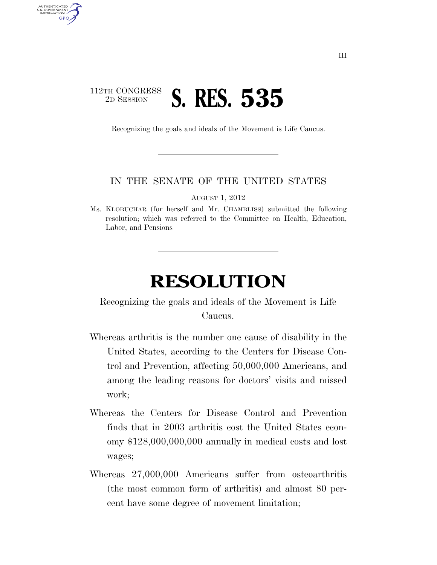## 112TH CONGRESS <sup>2D SESSION</sup> **S. RES. 535**

AUTHENTICATED U.S. GOVERNMENT GPO

Recognizing the goals and ideals of the Movement is Life Caucus.

## IN THE SENATE OF THE UNITED STATES

AUGUST 1, 2012

Ms. KLOBUCHAR (for herself and Mr. CHAMBLISS) submitted the following resolution; which was referred to the Committee on Health, Education, Labor, and Pensions

## **RESOLUTION**

Recognizing the goals and ideals of the Movement is Life Caucus.

- Whereas arthritis is the number one cause of disability in the United States, according to the Centers for Disease Control and Prevention, affecting 50,000,000 Americans, and among the leading reasons for doctors' visits and missed work;
- Whereas the Centers for Disease Control and Prevention finds that in 2003 arthritis cost the United States economy \$128,000,000,000 annually in medical costs and lost wages;
- Whereas 27,000,000 Americans suffer from osteoarthritis (the most common form of arthritis) and almost 80 percent have some degree of movement limitation;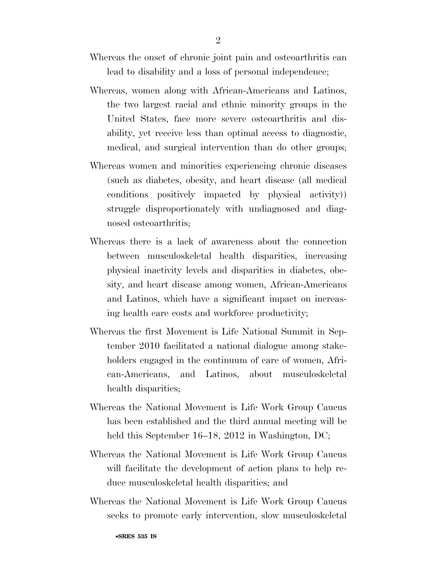- Whereas the onset of chronic joint pain and osteoarthritis can lead to disability and a loss of personal independence;
- Whereas, women along with African-Americans and Latinos, the two largest racial and ethnic minority groups in the United States, face more severe osteoarthritis and disability, yet receive less than optimal access to diagnostic, medical, and surgical intervention than do other groups;
- Whereas women and minorities experiencing chronic diseases (such as diabetes, obesity, and heart disease (all medical conditions positively impacted by physical activity)) struggle disproportionately with undiagnosed and diagnosed osteoarthritis;
- Whereas there is a lack of awareness about the connection between musculoskeletal health disparities, increasing physical inactivity levels and disparities in diabetes, obesity, and heart disease among women, African-Americans and Latinos, which have a significant impact on increasing health care costs and workforce productivity;
- Whereas the first Movement is Life National Summit in September 2010 facilitated a national dialogue among stakeholders engaged in the continuum of care of women, African-Americans, and Latinos, about musculoskeletal health disparities;
- Whereas the National Movement is Life Work Group Caucus has been established and the third annual meeting will be held this September 16–18, 2012 in Washington, DC;
- Whereas the National Movement is Life Work Group Caucus will facilitate the development of action plans to help reduce musculoskeletal health disparities; and
- Whereas the National Movement is Life Work Group Caucus seeks to promote early intervention, slow musculoskeletal